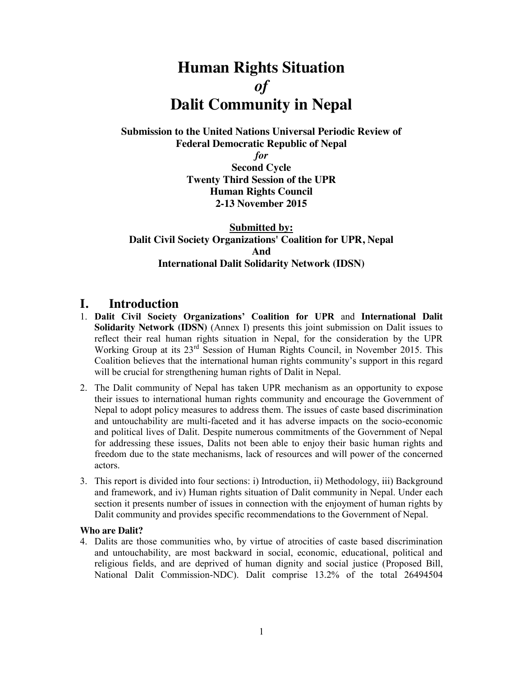# **Human Rights Situation** *of* **Dalit Community in Nepal**

**Submission to the United Nations Universal Periodic Review of Federal Democratic Republic of Nepal**

> *for* **Second Cycle Twenty Third Session of the UPR Human Rights Council 2-13 November 2015**

**Submitted by: Dalit Civil Society Organizations' Coalition for UPR, Nepal And International Dalit Solidarity Network (IDSN)**

## **I. Introduction**

- 1. **Dalit Civil Society Organizations' Coalition for UPR** and **International Dalit Solidarity Network (IDSN)** (Annex I) presents this joint submission on Dalit issues to reflect their real human rights situation in Nepal, for the consideration by the UPR Working Group at its 23rd Session of Human Rights Council, in November 2015. This Coalition believes that the international human rights community's support in this regard will be crucial for strengthening human rights of Dalit in Nepal.
- 2. The Dalit community of Nepal has taken UPR mechanism as an opportunity to expose their issues to international human rights community and encourage the Government of Nepal to adopt policy measures to address them. The issues of caste based discrimination and untouchability are multi-faceted and it has adverse impacts on the socio-economic and political lives of Dalit. Despite numerous commitments of the Government of Nepal for addressing these issues, Dalits not been able to enjoy their basic human rights and freedom due to the state mechanisms, lack of resources and will power of the concerned actors.
- 3. This report is divided into four sections: i) Introduction, ii) Methodology, iii) Background and framework, and iv) Human rights situation of Dalit community in Nepal. Under each section it presents number of issues in connection with the enjoyment of human rights by Dalit community and provides specific recommendations to the Government of Nepal.

#### **Who are Dalit?**

4. Dalits are those communities who, by virtue of atrocities of caste based discrimination and untouchability, are most backward in social, economic, educational, political and religious fields, and are deprived of human dignity and social justice (Proposed Bill, National Dalit Commission-NDC). Dalit comprise 13.2% of the total 26494504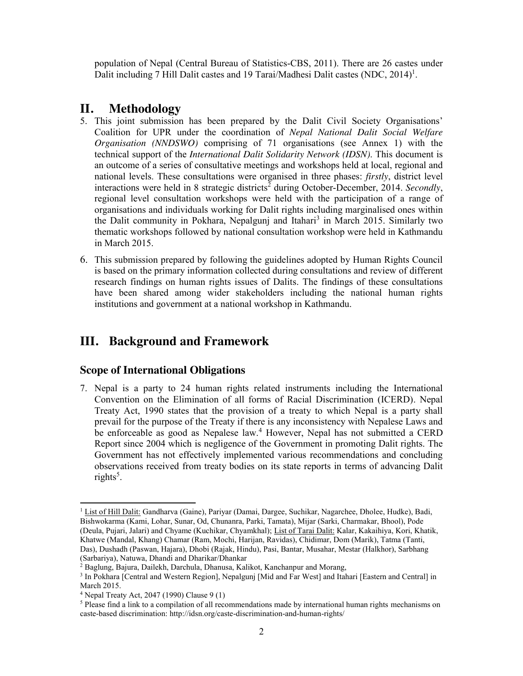population of Nepal (Central Bureau of Statistics-CBS, 2011). There are 26 castes under Dalit including 7 Hill Dalit castes and 19 Tarai/Madhesi Dalit castes (NDC, 2014)<sup>1</sup>.

## **II. Methodology**

- 5. This joint submission has been prepared by the Dalit Civil Society Organisations' Coalition for UPR under the coordination of *Nepal National Dalit Social Welfare Organisation (NNDSWO)* comprising of 71 organisations (see Annex 1) with the technical support of the *International Dalit Solidarity Network (IDSN)*. This document is an outcome of a series of consultative meetings and workshops held at local, regional and national levels. These consultations were organised in three phases: *firstly*, district level interactions were held in 8 strategic districts<sup>2</sup> during October-December, 2014. *Secondly*, regional level consultation workshops were held with the participation of a range of organisations and individuals working for Dalit rights including marginalised ones within the Dalit community in Pokhara, Nepalgunj and Itahari<sup>3</sup> in March 2015. Similarly two thematic workshops followed by national consultation workshop were held in Kathmandu in March 2015.
- 6. This submission prepared by following the guidelines adopted by Human Rights Council is based on the primary information collected during consultations and review of different research findings on human rights issues of Dalits. The findings of these consultations have been shared among wider stakeholders including the national human rights institutions and government at a national workshop in Kathmandu.

## **III. Background and Framework**

## **Scope of International Obligations**

7. Nepal is a party to 24 human rights related instruments including the International Convention on the Elimination of all forms of Racial Discrimination (ICERD). Nepal Treaty Act, 1990 states that the provision of a treaty to which Nepal is a party shall prevail for the purpose of the Treaty if there is any inconsistency with Nepalese Laws and be enforceable as good as Nepalese law.<sup>4</sup> However, Nepal has not submitted a CERD Report since 2004 which is negligence of the Government in promoting Dalit rights. The Government has not effectively implemented various recommendations and concluding observations received from treaty bodies on its state reports in terms of advancing Dalit rights<sup>5</sup>.

<sup>&</sup>lt;sup>1</sup> List of Hill Dalit: Gandharva (Gaine), Pariyar (Damai, Dargee, Suchikar, Nagarchee, Dholee, Hudke), Badi, Bishwokarma (Kami, Lohar, Sunar, Od, Chunanra, Parki, Tamata), Mijar (Sarki, Charmakar, Bhool), Pode (Deula, Pujari, Jalari) and Chyame (Kuchikar, Chyamkhal); List of Tarai Dalit: Kalar, Kakaihiya, Kori, Khatik, Khatwe (Mandal, Khang) Chamar (Ram, Mochi, Harijan, Ravidas), Chidimar, Dom (Marik), Tatma (Tanti, Das), Dushadh (Paswan, Hajara), Dhobi (Rajak, Hindu), Pasi, Bantar, Musahar, Mestar (Halkhor), Sarbhang (Sarbariya), Natuwa, Dhandi and Dharikar/Dhankar

<sup>&</sup>lt;sup>2</sup> Baglung, Bajura, Dailekh, Darchula, Dhanusa, Kalikot, Kanchanpur and Morang,

<sup>&</sup>lt;sup>3</sup> In Pokhara [Central and Western Region], Nepalgunj [Mid and Far West] and Itahari [Eastern and Central] in March 2015.

<sup>4</sup> Nepal Treaty Act, 2047 (1990) Clause 9 (1)

<sup>&</sup>lt;sup>5</sup> Please find a link to a compilation of all recommendations made by international human rights mechanisms on caste-based discrimination: http://idsn.org/caste-discrimination-and-human-rights/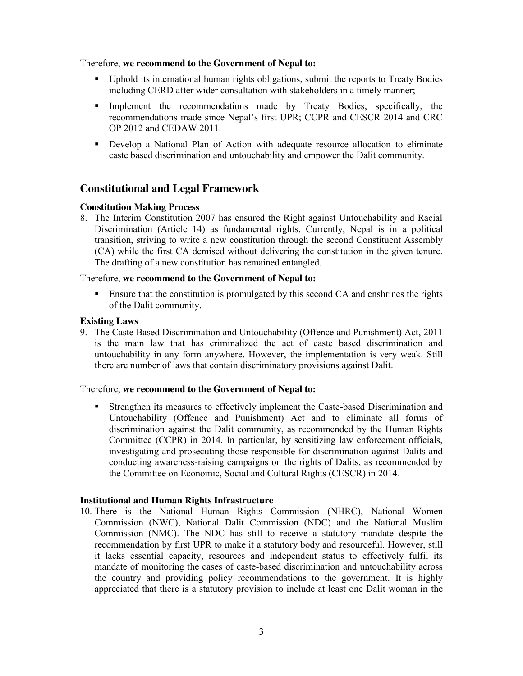Therefore, **we recommend to the Government of Nepal to:**

- Uphold its international human rights obligations, submit the reports to Treaty Bodies including CERD after wider consultation with stakeholders in a timely manner;
- Implement the recommendations made by Treaty Bodies, specifically, the recommendations made since Nepal's first UPR; CCPR and CESCR 2014 and CRC OP 2012 and CEDAW 2011.
- Develop a National Plan of Action with adequate resource allocation to eliminate caste based discrimination and untouchability and empower the Dalit community.

## **Constitutional and Legal Framework**

#### **Constitution Making Process**

8. The Interim Constitution 2007 has ensured the Right against Untouchability and Racial Discrimination (Article 14) as fundamental rights. Currently, Nepal is in a political transition, striving to write a new constitution through the second Constituent Assembly (CA) while the first CA demised without delivering the constitution in the given tenure. The drafting of a new constitution has remained entangled.

#### Therefore, **we recommend to the Government of Nepal to:**

**Ensure that the constitution is promulgated by this second CA and enshrines the rights** of the Dalit community.

#### **Existing Laws**

9. The Caste Based Discrimination and Untouchability (Offence and Punishment) Act, 2011 is the main law that has criminalized the act of caste based discrimination and untouchability in any form anywhere. However, the implementation is very weak. Still there are number of laws that contain discriminatory provisions against Dalit.

#### Therefore, **we recommend to the Government of Nepal to:**

 Strengthen its measures to effectively implement the Caste-based Discrimination and Untouchability (Offence and Punishment) Act and to eliminate all forms of discrimination against the Dalit community, as recommended by the Human Rights Committee (CCPR) in 2014. In particular, by sensitizing law enforcement officials, investigating and prosecuting those responsible for discrimination against Dalits and conducting awareness-raising campaigns on the rights of Dalits, as recommended by the Committee on Economic, Social and Cultural Rights (CESCR) in 2014.

#### **Institutional and Human Rights Infrastructure**

10. There is the National Human Rights Commission (NHRC), National Women Commission (NWC), National Dalit Commission (NDC) and the National Muslim Commission (NMC). The NDC has still to receive a statutory mandate despite the recommendation by first UPR to make it a statutory body and resourceful. However, still it lacks essential capacity, resources and independent status to effectively fulfil its mandate of monitoring the cases of caste-based discrimination and untouchability across the country and providing policy recommendations to the government. It is highly appreciated that there is a statutory provision to include at least one Dalit woman in the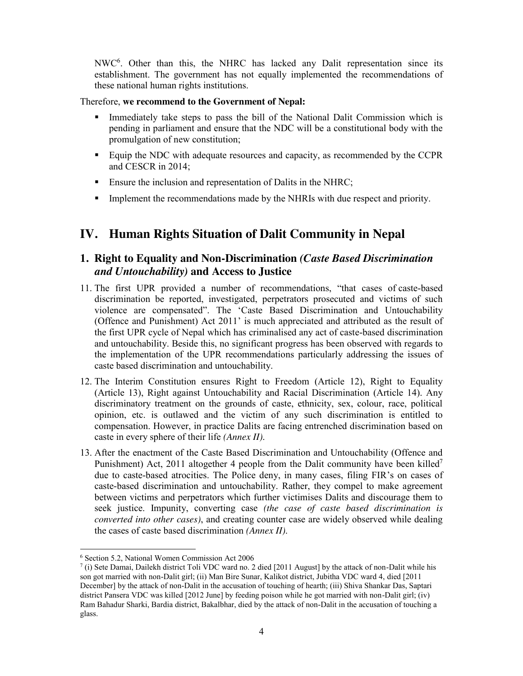NWC<sup>6</sup>. Other than this, the NHRC has lacked any Dalit representation since its establishment. The government has not equally implemented the recommendations of these national human rights institutions.

### Therefore, **we recommend to the Government of Nepal:**

- Immediately take steps to pass the bill of the National Dalit Commission which is pending in parliament and ensure that the NDC will be a constitutional body with the promulgation of new constitution;
- Equip the NDC with adequate resources and capacity, as recommended by the CCPR and CESCR in 2014;
- **Ensure the inclusion and representation of Dalits in the NHRC;**
- Implement the recommendations made by the NHRIs with due respect and priority.

## **IV. Human Rights Situation of Dalit Community in Nepal**

## **1. Right to Equality and Non-Discrimination** *(Caste Based Discrimination and Untouchability)* **and Access to Justice**

- 11. The first UPR provided a number of recommendations, "that cases of caste-based discrimination be reported, investigated, perpetrators prosecuted and victims of such violence are compensated". The 'Caste Based Discrimination and Untouchability (Offence and Punishment) Act 2011' is much appreciated and attributed as the result of the first UPR cycle of Nepal which has criminalised any act of caste-based discrimination and untouchability. Beside this, no significant progress has been observed with regards to the implementation of the UPR recommendations particularly addressing the issues of caste based discrimination and untouchability.
- 12. The Interim Constitution ensures Right to Freedom (Article 12), Right to Equality (Article 13), Right against Untouchability and Racial Discrimination (Article 14). Any discriminatory treatment on the grounds of caste, ethnicity, sex, colour, race, political opinion, etc. is outlawed and the victim of any such discrimination is entitled to compensation. However, in practice Dalits are facing entrenched discrimination based on caste in every sphere of their life *(Annex II)*.
- 13. After the enactment of the Caste Based Discrimination and Untouchability (Offence and Punishment) Act, 2011 altogether 4 people from the Dalit community have been killed<sup>7</sup> due to caste-based atrocities. The Police deny, in many cases, filing FIR's on cases of caste-based discrimination and untouchability. Rather, they compel to make agreement between victims and perpetrators which further victimises Dalits and discourage them to seek justice. Impunity, converting case *(the case of caste based discrimination is converted into other cases)*, and creating counter case are widely observed while dealing the cases of caste based discrimination *(Annex II)*.

l <sup>6</sup> Section 5.2, National Women Commission Act 2006

 $^7$  (i) Sete Damai, Dailekh district Toli VDC ward no. 2 died [2011 August] by the attack of non-Dalit while his son got married with non-Dalit girl; (ii) Man Bire Sunar, Kalikot district, Jubitha VDC ward 4, died [2011 December] by the attack of non-Dalit in the accusation of touching of hearth; (iii) Shiva Shankar Das, Saptari district Pansera VDC was killed [2012 June] by feeding poison while he got married with non-Dalit girl; (iv) Ram Bahadur Sharki, Bardia district, Bakalbhar, died by the attack of non-Dalit in the accusation of touching a glass.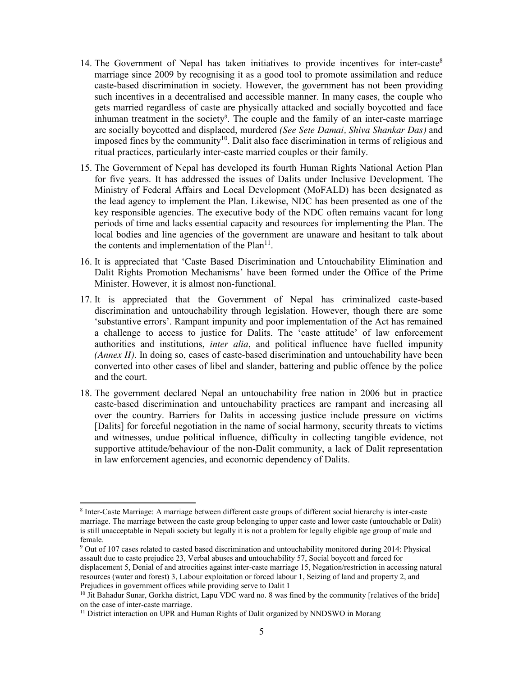- 14. The Government of Nepal has taken initiatives to provide incentives for inter-caste<sup>8</sup> marriage since 2009 by recognising it as a good tool to promote assimilation and reduce caste-based discrimination in society. However, the government has not been providing such incentives in a decentralised and accessible manner. In many cases, the couple who gets married regardless of caste are physically attacked and socially boycotted and face inhuman treatment in the society<sup>9</sup>. The couple and the family of an inter-caste marriage are socially boycotted and displaced, murdered *(See Sete Damai, Shiva Shankar Das)* and imposed fines by the community<sup>10</sup>. Dalit also face discrimination in terms of religious and ritual practices, particularly inter-caste married couples or their family.
- 15. The Government of Nepal has developed its fourth Human Rights National Action Plan for five years. It has addressed the issues of Dalits under Inclusive Development. The Ministry of Federal Affairs and Local Development (MoFALD) has been designated as the lead agency to implement the Plan. Likewise, NDC has been presented as one of the key responsible agencies. The executive body of the NDC often remains vacant for long periods of time and lacks essential capacity and resources for implementing the Plan. The local bodies and line agencies of the government are unaware and hesitant to talk about the contents and implementation of the  $Plan<sup>11</sup>$ .
- 16. It is appreciated that 'Caste Based Discrimination and Untouchability Elimination and Dalit Rights Promotion Mechanisms' have been formed under the Office of the Prime Minister. However, it is almost non-functional.
- 17. It is appreciated that the Government of Nepal has criminalized caste-based discrimination and untouchability through legislation. However, though there are some 'substantive errors'. Rampant impunity and poor implementation of the Act has remained a challenge to access to justice for Dalits. The 'caste attitude' of law enforcement authorities and institutions, *inter alia*, and political influence have fuelled impunity *(Annex II)*. In doing so, cases of caste-based discrimination and untouchability have been converted into other cases of libel and slander, battering and public offence by the police and the court.
- 18. The government declared Nepal an untouchability free nation in 2006 but in practice caste-based discrimination and untouchability practices are rampant and increasing all over the country. Barriers for Dalits in accessing justice include pressure on victims [Dalits] for forceful negotiation in the name of social harmony, security threats to victims and witnesses, undue political influence, difficulty in collecting tangible evidence, not supportive attitude/behaviour of the non-Dalit community, a lack of Dalit representation in law enforcement agencies, and economic dependency of Dalits.

<sup>8</sup> Inter-Caste Marriage: A marriage between different caste groups of different social hierarchy is inter-caste marriage. The marriage between the caste group belonging to upper caste and lower caste (untouchable or Dalit) is still unacceptable in Nepali society but legally it is not a problem for legally eligible age group of male and female.

<sup>&</sup>lt;sup>9</sup> Out of 107 cases related to casted based discrimination and untouchability monitored during 2014: Physical assault due to caste prejudice 23, Verbal abuses and untouchability 57, Social boycott and forced for displacement 5, Denial of and atrocities against inter-caste marriage 15, Negation/restriction in accessing natural resources (water and forest) 3, Labour exploitation or forced labour 1, Seizing of land and property 2, and Prejudices in government offices while providing serve to Dalit 1

<sup>&</sup>lt;sup>10</sup> Jit Bahadur Sunar, Gorkha district, Lapu VDC ward no. 8 was fined by the community [relatives of the bride] on the case of inter-caste marriage.

<sup>&</sup>lt;sup>11</sup> District interaction on UPR and Human Rights of Dalit organized by NNDSWO in Morang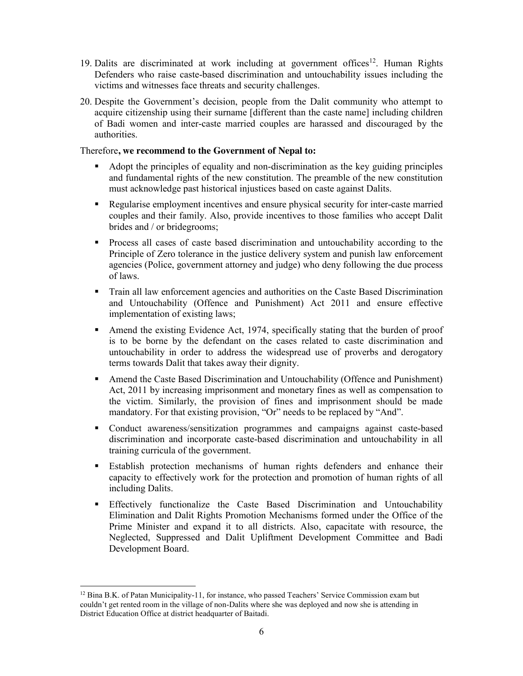- 19. Dalits are discriminated at work including at government offices<sup>12</sup>. Human Rights Defenders who raise caste-based discrimination and untouchability issues including the victims and witnesses face threats and security challenges.
- 20. Despite the Government's decision, people from the Dalit community who attempt to acquire citizenship using their surname [different than the caste name] including children of Badi women and inter-caste married couples are harassed and discouraged by the authorities.

### Therefore**, we recommend to the Government of Nepal to:**

- Adopt the principles of equality and non-discrimination as the key guiding principles and fundamental rights of the new constitution. The preamble of the new constitution must acknowledge past historical injustices based on caste against Dalits.
- Regularise employment incentives and ensure physical security for inter-caste married couples and their family. Also, provide incentives to those families who accept Dalit brides and / or bridegrooms;
- Process all cases of caste based discrimination and untouchability according to the Principle of Zero tolerance in the justice delivery system and punish law enforcement agencies (Police, government attorney and judge) who deny following the due process of laws.
- Train all law enforcement agencies and authorities on the Caste Based Discrimination and Untouchability (Offence and Punishment) Act 2011 and ensure effective implementation of existing laws;
- Amend the existing Evidence Act, 1974, specifically stating that the burden of proof is to be borne by the defendant on the cases related to caste discrimination and untouchability in order to address the widespread use of proverbs and derogatory terms towards Dalit that takes away their dignity.
- Amend the Caste Based Discrimination and Untouchability (Offence and Punishment) Act, 2011 by increasing imprisonment and monetary fines as well as compensation to the victim. Similarly, the provision of fines and imprisonment should be made mandatory. For that existing provision, "Or" needs to be replaced by "And".
- Conduct awareness/sensitization programmes and campaigns against caste-based discrimination and incorporate caste-based discrimination and untouchability in all training curricula of the government.
- Establish protection mechanisms of human rights defenders and enhance their capacity to effectively work for the protection and promotion of human rights of all including Dalits.
- Effectively functionalize the Caste Based Discrimination and Untouchability Elimination and Dalit Rights Promotion Mechanisms formed under the Office of the Prime Minister and expand it to all districts. Also, capacitate with resource, the Neglected, Suppressed and Dalit Upliftment Development Committee and Badi Development Board.

 $\overline{a}$  $12$  Bina B.K. of Patan Municipality-11, for instance, who passed Teachers' Service Commission exam but couldn't get rented room in the village of non-Dalits where she was deployed and now she is attending in District Education Office at district headquarter of Baitadi.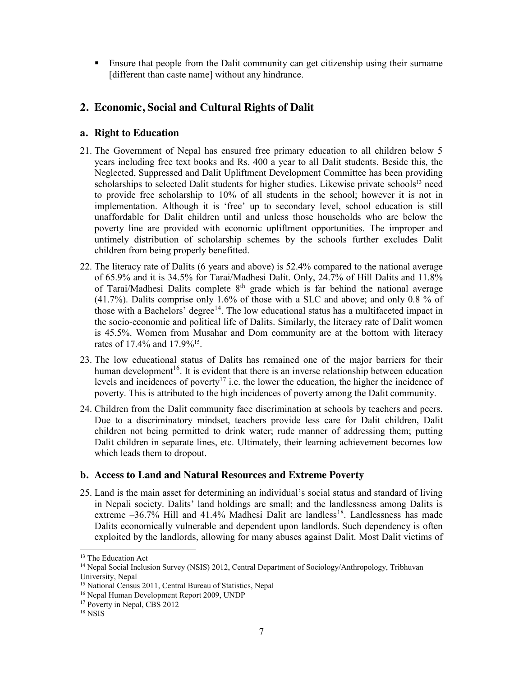Ensure that people from the Dalit community can get citizenship using their surname [different than caste name] without any hindrance.

## **2. Economic, Social and Cultural Rights of Dalit**

## **a. Right to Education**

- 21. The Government of Nepal has ensured free primary education to all children below 5 years including free text books and Rs. 400 a year to all Dalit students. Beside this, the Neglected, Suppressed and Dalit Upliftment Development Committee has been providing scholarships to selected Dalit students for higher studies. Likewise private schools<sup>13</sup> need to provide free scholarship to 10% of all students in the school; however it is not in implementation. Although it is 'free' up to secondary level, school education is still unaffordable for Dalit children until and unless those households who are below the poverty line are provided with economic upliftment opportunities. The improper and untimely distribution of scholarship schemes by the schools further excludes Dalit children from being properly benefitted.
- 22. The literacy rate of Dalits (6 years and above) is 52.4% compared to the national average of 65.9% and it is 34.5% for Tarai/Madhesi Dalit. Only, 24.7% of Hill Dalits and 11.8% of Tarai/Madhesi Dalits complete 8<sup>th</sup> grade which is far behind the national average (41.7%). Dalits comprise only 1.6% of those with a SLC and above; and only 0.8 % of those with a Bachelors' degree<sup>14</sup>. The low educational status has a multifaceted impact in the socio-economic and political life of Dalits. Similarly, the literacy rate of Dalit women is 45.5%. Women from Musahar and Dom community are at the bottom with literacy rates of 17.4% and 17.9%15.
- 23. The low educational status of Dalits has remained one of the major barriers for their human development<sup>16</sup>. It is evident that there is an inverse relationship between education levels and incidences of poverty<sup>17</sup> i.e. the lower the education, the higher the incidence of poverty. This is attributed to the high incidences of poverty among the Dalit community.
- 24. Children from the Dalit community face discrimination at schools by teachers and peers. Due to a discriminatory mindset, teachers provide less care for Dalit children, Dalit children not being permitted to drink water; rude manner of addressing them; putting Dalit children in separate lines, etc. Ultimately, their learning achievement becomes low which leads them to dropout.

## **b. Access to Land and Natural Resources and Extreme Poverty**

25. Land is the main asset for determining an individual's social status and standard of living in Nepali society. Dalits' land holdings are small; and the landlessness among Dalits is extreme  $-36.7\%$  Hill and  $41.4\%$  Madhesi Dalit are landless<sup>18</sup>. Landlessness has made Dalits economically vulnerable and dependent upon landlords. Such dependency is often exploited by the landlords, allowing for many abuses against Dalit. Most Dalit victims of

l <sup>13</sup> The Education Act

<sup>&</sup>lt;sup>14</sup> Nepal Social Inclusion Survey (NSIS) 2012, Central Department of Sociology/Anthropology, Tribhuvan University, Nepal

<sup>15</sup> National Census 2011, Central Bureau of Statistics, Nepal

<sup>16</sup> Nepal Human Development Report 2009, UNDP

<sup>&</sup>lt;sup>17</sup> Poverty in Nepal, CBS 2012

<sup>18</sup> NSIS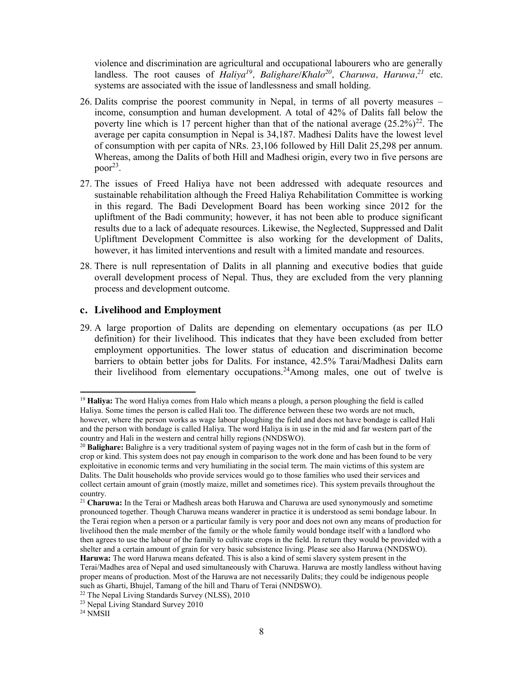violence and discrimination are agricultural and occupational labourers who are generally landless. The root causes of *Haliya<sup>19</sup>*, *Balighare/Khalo<sup>20</sup>, Charuwa, Haruwa*,<sup>21</sup> etc. systems are associated with the issue of landlessness and small holding.

- 26. Dalits comprise the poorest community in Nepal, in terms of all poverty measures income, consumption and human development. A total of 42% of Dalits fall below the poverty line which is 17 percent higher than that of the national average  $(25.2\%)^{22}$ . The average per capita consumption in Nepal is 34,187. Madhesi Dalits have the lowest level of consumption with per capita of NRs. 23,106 followed by Hill Dalit 25,298 per annum. Whereas, among the Dalits of both Hill and Madhesi origin, every two in five persons are poor<sup>23</sup>.
- 27. The issues of Freed Haliya have not been addressed with adequate resources and sustainable rehabilitation although the Freed Haliya Rehabilitation Committee is working in this regard. The Badi Development Board has been working since 2012 for the upliftment of the Badi community; however, it has not been able to produce significant results due to a lack of adequate resources. Likewise, the Neglected, Suppressed and Dalit Upliftment Development Committee is also working for the development of Dalits, however, it has limited interventions and result with a limited mandate and resources.
- 28. There is null representation of Dalits in all planning and executive bodies that guide overall development process of Nepal. Thus, they are excluded from the very planning process and development outcome.

#### **c. Livelihood and Employment**

29. A large proportion of Dalits are depending on elementary occupations (as per ILO definition) for their livelihood. This indicates that they have been excluded from better employment opportunities. The lower status of education and discrimination become barriers to obtain better jobs for Dalits. For instance, 42.5% Tarai/Madhesi Dalits earn their livelihood from elementary occupations.24Among males, one out of twelve is

<sup>19</sup> **Haliya:** The word Haliya comes from Halo which means a plough, a person ploughing the field is called Haliya. Some times the person is called Hali too. The difference between these two words are not much, however, where the person works as wage labour ploughing the field and does not have bondage is called Hali and the person with bondage is called Haliya. The word Haliya is in use in the mid and far western part of the country and Hali in the western and central hilly regions (NNDSWO).

<sup>20</sup> **Balighare:** Balighre is a very traditional system of paying wages not in the form of cash but in the form of crop or kind. This system does not pay enough in comparison to the work done and has been found to be very exploitative in economic terms and very humiliating in the social term. The main victims of this system are Dalits. The Dalit households who provide services would go to those families who used their services and collect certain amount of grain (mostly maize, millet and sometimes rice). This system prevails throughout the country.

<sup>21</sup> **Charuwa:** In the Terai or Madhesh areas both Haruwa and Charuwa are used synonymously and sometime pronounced together. Though Charuwa means wanderer in practice it is understood as semi bondage labour. In the Terai region when a person or a particular family is very poor and does not own any means of production for livelihood then the male member of the family or the whole family would bondage itself with a landlord who then agrees to use the labour of the family to cultivate crops in the field. In return they would be provided with a shelter and a certain amount of grain for very basic subsistence living. Please see also Haruwa (NNDSWO). **Haruwa:** The word Haruwa means defeated. This is also a kind of semi slavery system present in the Terai/Madhes area of Nepal and used simultaneously with Charuwa. Haruwa are mostly landless without having proper means of production. Most of the Haruwa are not necessarily Dalits; they could be indigenous people

such as Gharti, Bhujel, Tamang of the hill and Tharu of Terai (NNDSWO).<br><sup>22</sup> The Nepal Living Standards Survey (NLSS), 2010

<sup>23</sup> Nepal Living Standard Survey 2010

<sup>24</sup> NMSII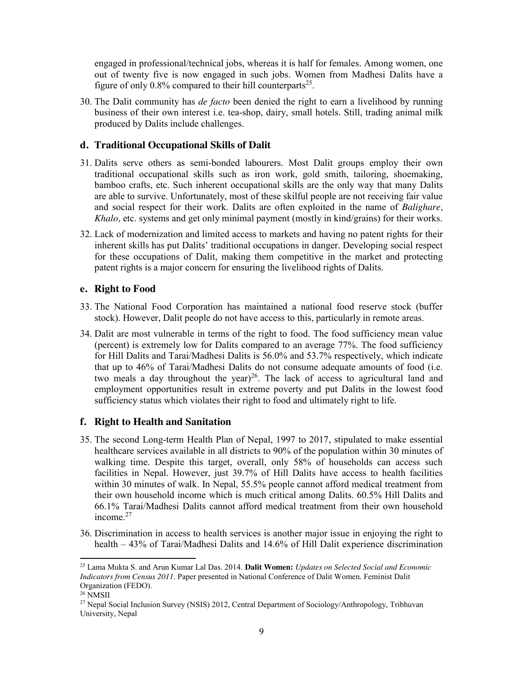engaged in professional/technical jobs, whereas it is half for females. Among women, one out of twenty five is now engaged in such jobs. Women from Madhesi Dalits have a figure of only  $0.8\%$  compared to their hill counterparts<sup>25</sup>.

30. The Dalit community has *de facto* been denied the right to earn a livelihood by running business of their own interest i.e. tea-shop, dairy, small hotels. Still, trading animal milk produced by Dalits include challenges.

## **d. Traditional Occupational Skills of Dalit**

- 31. Dalits serve others as semi-bonded labourers. Most Dalit groups employ their own traditional occupational skills such as iron work, gold smith, tailoring, shoemaking, bamboo crafts, etc. Such inherent occupational skills are the only way that many Dalits are able to survive. Unfortunately, most of these skilful people are not receiving fair value and social respect for their work. Dalits are often exploited in the name of *Balighare, Khalo,* etc. systems and get only minimal payment (mostly in kind/grains) for their works.
- 32. Lack of modernization and limited access to markets and having no patent rights for their inherent skills has put Dalits' traditional occupations in danger. Developing social respect for these occupations of Dalit, making them competitive in the market and protecting patent rights is a major concern for ensuring the livelihood rights of Dalits.

### **e. Right to Food**

- 33. The National Food Corporation has maintained a national food reserve stock (buffer stock). However, Dalit people do not have access to this, particularly in remote areas.
- 34. Dalit are most vulnerable in terms of the right to food. The food sufficiency mean value (percent) is extremely low for Dalits compared to an average 77%. The food sufficiency for Hill Dalits and Tarai/Madhesi Dalits is 56.0% and 53.7% respectively, which indicate that up to 46% of Tarai/Madhesi Dalits do not consume adequate amounts of food (i.e. two meals a day throughout the year)<sup>26</sup>. The lack of access to agricultural land and employment opportunities result in extreme poverty and put Dalits in the lowest food sufficiency status which violates their right to food and ultimately right to life.

## **f. Right to Health and Sanitation**

- 35. The second Long-term Health Plan of Nepal, 1997 to 2017, stipulated to make essential healthcare services available in all districts to 90% of the population within 30 minutes of walking time. Despite this target, overall, only 58% of households can access such facilities in Nepal. However, just 39.7% of Hill Dalits have access to health facilities within 30 minutes of walk. In Nepal, 55.5% people cannot afford medical treatment from their own household income which is much critical among Dalits. 60.5% Hill Dalits and 66.1% Tarai/Madhesi Dalits cannot afford medical treatment from their own household income.<sup>27</sup>
- 36. Discrimination in access to health services is another major issue in enjoying the right to health – 43% of Tarai/Madhesi Dalits and 14.6% of Hill Dalit experience discrimination

l

<sup>25</sup> Lama Mukta S. and Arun Kumar Lal Das. 2014. **Dalit Women:** *Updates on Selected Social and Economic Indicators from Census 2011*. Paper presented in National Conference of Dalit Women. Feminist Dalit Organization (FEDO).

<sup>&</sup>lt;sup>26</sup> NMSII

<sup>&</sup>lt;sup>27</sup> Nepal Social Inclusion Survey (NSIS) 2012, Central Department of Sociology/Anthropology, Tribhuvan University, Nepal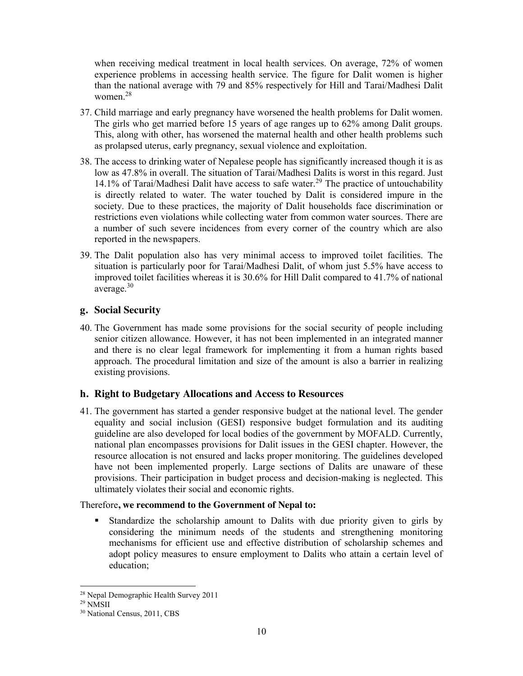when receiving medical treatment in local health services. On average, 72% of women experience problems in accessing health service. The figure for Dalit women is higher than the national average with 79 and 85% respectively for Hill and Tarai/Madhesi Dalit women. 28

- 37. Child marriage and early pregnancy have worsened the health problems for Dalit women. The girls who get married before 15 years of age ranges up to 62% among Dalit groups. This, along with other, has worsened the maternal health and other health problems such as prolapsed uterus, early pregnancy, sexual violence and exploitation.
- 38. The access to drinking water of Nepalese people has significantly increased though it is as low as 47.8% in overall. The situation of Tarai/Madhesi Dalits is worst in this regard. Just 14.1% of Tarai/Madhesi Dalit have access to safe water.<sup>29</sup> The practice of untouchability is directly related to water. The water touched by Dalit is considered impure in the society. Due to these practices, the majority of Dalit households face discrimination or restrictions even violations while collecting water from common water sources. There are a number of such severe incidences from every corner of the country which are also reported in the newspapers.
- 39. The Dalit population also has very minimal access to improved toilet facilities. The situation is particularly poor for Tarai/Madhesi Dalit, of whom just 5.5% have access to improved toilet facilities whereas it is 30.6% for Hill Dalit compared to 41.7% of national average.<sup>30</sup>

## **g. Social Security**

40. The Government has made some provisions for the social security of people including senior citizen allowance. However, it has not been implemented in an integrated manner and there is no clear legal framework for implementing it from a human rights based approach. The procedural limitation and size of the amount is also a barrier in realizing existing provisions.

## **h. Right to Budgetary Allocations and Access to Resources**

41. The government has started a gender responsive budget at the national level. The gender equality and social inclusion (GESI) responsive budget formulation and its auditing guideline are also developed for local bodies of the government by MOFALD. Currently, national plan encompasses provisions for Dalit issues in the GESI chapter. However, the resource allocation is not ensured and lacks proper monitoring. The guidelines developed have not been implemented properly. Large sections of Dalits are unaware of these provisions. Their participation in budget process and decision-making is neglected. This ultimately violates their social and economic rights.

## Therefore**, we recommend to the Government of Nepal to:**

 Standardize the scholarship amount to Dalits with due priority given to girls by considering the minimum needs of the students and strengthening monitoring mechanisms for efficient use and effective distribution of scholarship schemes and adopt policy measures to ensure employment to Dalits who attain a certain level of education;

 $\overline{a}$ <sup>28</sup> Nepal Demographic Health Survey 2011

<sup>29</sup> NMSII

<sup>30</sup> National Census, 2011, CBS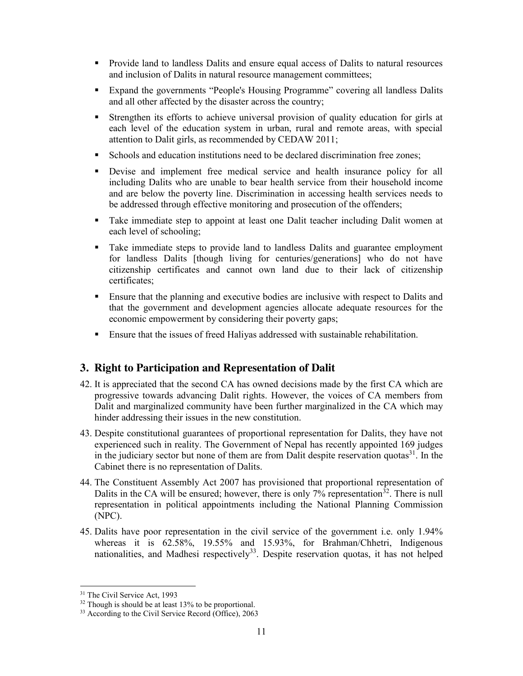- Provide land to landless Dalits and ensure equal access of Dalits to natural resources and inclusion of Dalits in natural resource management committees;
- Expand the governments "People's Housing Programme" covering all landless Dalits and all other affected by the disaster across the country;
- Strengthen its efforts to achieve universal provision of quality education for girls at each level of the education system in urban, rural and remote areas, with special attention to Dalit girls, as recommended by CEDAW 2011;
- Schools and education institutions need to be declared discrimination free zones;
- Devise and implement free medical service and health insurance policy for all including Dalits who are unable to bear health service from their household income and are below the poverty line. Discrimination in accessing health services needs to be addressed through effective monitoring and prosecution of the offenders;
- Take immediate step to appoint at least one Dalit teacher including Dalit women at each level of schooling;
- Take immediate steps to provide land to landless Dalits and guarantee employment for landless Dalits [though living for centuries/generations] who do not have citizenship certificates and cannot own land due to their lack of citizenship certificates;
- Ensure that the planning and executive bodies are inclusive with respect to Dalits and that the government and development agencies allocate adequate resources for the economic empowerment by considering their poverty gaps;
- Ensure that the issues of freed Haliyas addressed with sustainable rehabilitation.

## **3. Right to Participation and Representation of Dalit**

- 42. It is appreciated that the second CA has owned decisions made by the first CA which are progressive towards advancing Dalit rights. However, the voices of CA members from Dalit and marginalized community have been further marginalized in the CA which may hinder addressing their issues in the new constitution.
- 43. Despite constitutional guarantees of proportional representation for Dalits, they have not experienced such in reality. The Government of Nepal has recently appointed 169 judges in the judiciary sector but none of them are from Dalit despite reservation quotas<sup>31</sup>. In the Cabinet there is no representation of Dalits.
- 44. The Constituent Assembly Act 2007 has provisioned that proportional representation of Dalits in the CA will be ensured; however, there is only  $7\%$  representation<sup>32</sup>. There is null representation in political appointments including the National Planning Commission (NPC).
- 45. Dalits have poor representation in the civil service of the government i.e. only 1.94% whereas it is 62.58%, 19.55% and 15.93%, for Brahman/Chhetri, Indigenous nationalities, and Madhesi respectively<sup>33</sup>. Despite reservation quotas, it has not helped

 $\overline{a}$ <sup>31</sup> The Civil Service Act, 1993

 $32$  Though is should be at least 13% to be proportional.

<sup>&</sup>lt;sup>33</sup> According to the Civil Service Record (Office), 2063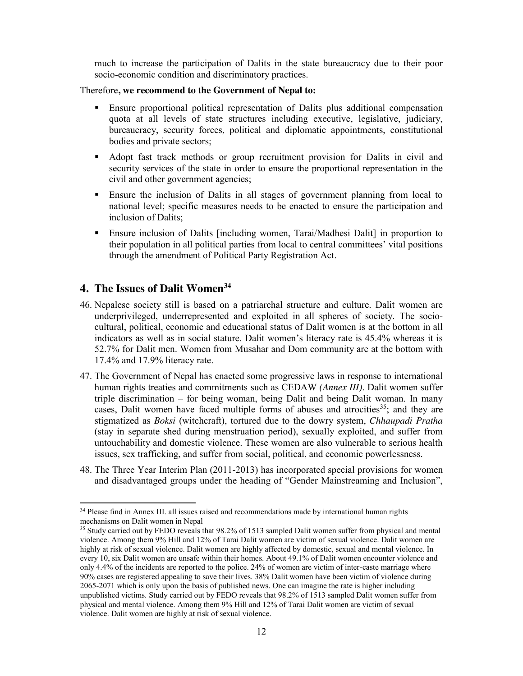much to increase the participation of Dalits in the state bureaucracy due to their poor socio-economic condition and discriminatory practices.

Therefore**, we recommend to the Government of Nepal to:**

- Ensure proportional political representation of Dalits plus additional compensation quota at all levels of state structures including executive, legislative, judiciary, bureaucracy, security forces, political and diplomatic appointments, constitutional bodies and private sectors;
- Adopt fast track methods or group recruitment provision for Dalits in civil and security services of the state in order to ensure the proportional representation in the civil and other government agencies;
- Ensure the inclusion of Dalits in all stages of government planning from local to national level; specific measures needs to be enacted to ensure the participation and inclusion of Dalits;
- Ensure inclusion of Dalits [including women, Tarai/Madhesi Dalit] in proportion to their population in all political parties from local to central committees' vital positions through the amendment of Political Party Registration Act.

## **4. The Issues of Dalit Women34**

- 46. Nepalese society still is based on a patriarchal structure and culture. Dalit women are underprivileged, underrepresented and exploited in all spheres of society. The sociocultural, political, economic and educational status of Dalit women is at the bottom in all indicators as well as in social stature. Dalit women's literacy rate is 45.4% whereas it is 52.7% for Dalit men. Women from Musahar and Dom community are at the bottom with 17.4% and 17.9% literacy rate.
- 47. The Government of Nepal has enacted some progressive laws in response to international human rights treaties and commitments such as CEDAW *(Annex III)*. Dalit women suffer triple discrimination – for being woman, being Dalit and being Dalit woman. In many cases, Dalit women have faced multiple forms of abuses and atrocities  $35$ ; and they are stigmatized as *Boksi* (witchcraft), tortured due to the dowry system, *Chhaupadi Pratha* (stay in separate shed during menstruation period), sexually exploited, and suffer from untouchability and domestic violence. These women are also vulnerable to serious health issues, sex trafficking, and suffer from social, political, and economic powerlessness.
- 48. The Three Year Interim Plan (2011-2013) has incorporated special provisions for women and disadvantaged groups under the heading of "Gender Mainstreaming and Inclusion",

<sup>&</sup>lt;sup>34</sup> Please find in Annex III. all issues raised and recommendations made by international human rights mechanisms on Dalit women in Nepal

<sup>&</sup>lt;sup>35</sup> Study carried out by FEDO reveals that 98.2% of 1513 sampled Dalit women suffer from physical and mental violence. Among them 9% Hill and 12% of Tarai Dalit women are victim of sexual violence. Dalit women are highly at risk of sexual violence. Dalit women are highly affected by domestic, sexual and mental violence. In every 10, six Dalit women are unsafe within their homes. About 49.1% of Dalit women encounter violence and only 4.4% of the incidents are reported to the police. 24% of women are victim of inter-caste marriage where 90% cases are registered appealing to save their lives. 38% Dalit women have been victim of violence during 2065-2071 which is only upon the basis of published news. One can imagine the rate is higher including unpublished victims. Study carried out by FEDO reveals that 98.2% of 1513 sampled Dalit women suffer from physical and mental violence. Among them 9% Hill and 12% of Tarai Dalit women are victim of sexual violence. Dalit women are highly at risk of sexual violence.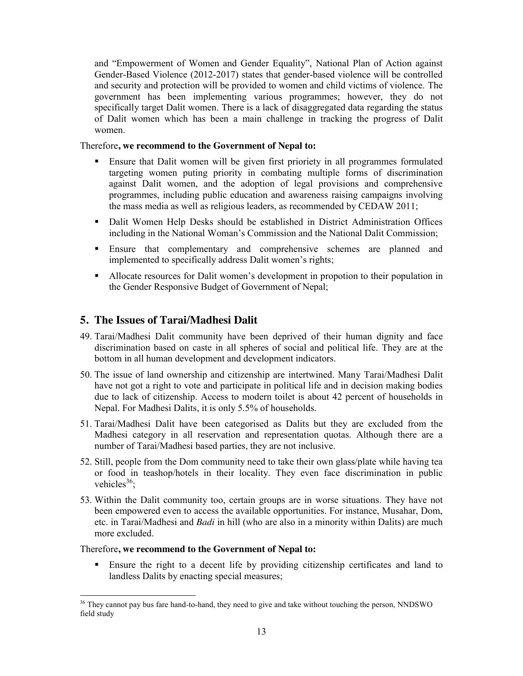and "Empowerment of Women and Gender Equality", National Plan of Action against Gender-Based Violence (2012-2017) states that gender-based violence will be controlled and security and protection will be provided to women and child victims of violence. The government has been implementing various programmes; however, they do not specifically target Dalit women. There is a lack of disaggregated data regarding the status of Dalit women which has been a main challenge in tracking the progress of Dalit women.

#### Therefore**, we recommend to the Government of Nepal to:**

- Ensure that Dalit women will be given first prioriety in all programmes formulated targeting women puting priority in combating multiple forms of discrimination against Dalit women, and the adoption of legal provisions and comprehensive programmes, including public education and awareness raising campaigns involving the mass media as well as religious leaders, as recommended by CEDAW 2011;
- **Dalit Women Help Desks should be established in District Administration Offices** including in the National Woman's Commission and the National Dalit Commission;
- Ensure that complementary and comprehensive schemes are planned and implemented to specifically address Dalit women's rights;
- Allocate resources for Dalit women's development in propotion to their population in the Gender Responsive Budget of Government of Nepal;

## **5. The Issues of Tarai/Madhesi Dalit**

- 49. Tarai/Madhesi Dalit community have been deprived of their human dignity and face discrimination based on caste in all spheres of social and political life. They are at the bottom in all human development and development indicators.
- 50. The issue of land ownership and citizenship are intertwined. Many Tarai/Madhesi Dalit have not got a right to vote and participate in political life and in decision making bodies due to lack of citizenship. Access to modern toilet is about 42 percent of households in Nepal. For Madhesi Dalits, it is only 5.5% of households.
- 51. Tarai/Madhesi Dalit have been categorised as Dalits but they are excluded from the Madhesi category in all reservation and representation quotas. Although there are a number of Tarai/Madhesi based parties, they are not inclusive.
- 52. Still, people from the Dom community need to take their own glass/plate while having tea or food in teashop/hotels in their locality. They even face discrimination in public vehicles $36$ :
- 53. Within the Dalit community too, certain groups are in worse situations. They have not been empowered even to access the available opportunities. For instance, Musahar, Dom, etc. in Tarai/Madhesi and *Badi* in hill (who are also in a minority within Dalits) are much more excluded.

#### Therefore**, we recommend to the Government of Nepal to:**

 Ensure the right to a decent life by providing citizenship certificates and land to landless Dalits by enacting special measures;

 $\overline{a}$ <sup>36</sup> They cannot pay bus fare hand-to-hand, they need to give and take without touching the person, NNDSWO field study